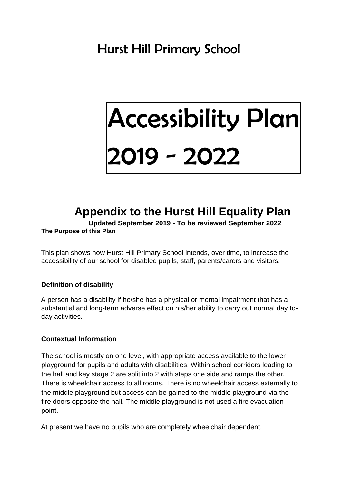# Accessibility Plan 2019 - 2022

## **Appendix to the Hurst Hill Equality Plan**

**Updated September 2019 - To be reviewed September 2022**

#### **The Purpose of this Plan**

This plan shows how Hurst Hill Primary School intends, over time, to increase the accessibility of our school for disabled pupils, staff, parents/carers and visitors.

#### **Definition of disability**

A person has a disability if he/she has a physical or mental impairment that has a substantial and long-term adverse effect on his/her ability to carry out normal day today activities.

#### **Contextual Information**

The school is mostly on one level, with appropriate access available to the lower playground for pupils and adults with disabilities. Within school corridors leading to the hall and key stage 2 are split into 2 with steps one side and ramps the other. There is wheelchair access to all rooms. There is no wheelchair access externally to the middle playground but access can be gained to the middle playground via the fire doors opposite the hall. The middle playground is not used a fire evacuation point.

At present we have no pupils who are completely wheelchair dependent.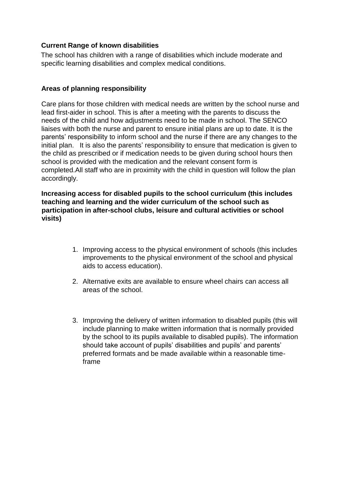#### **Current Range of known disabilities**

The school has children with a range of disabilities which include moderate and specific learning disabilities and complex medical conditions.

#### **Areas of planning responsibility**

Care plans for those children with medical needs are written by the school nurse and lead first-aider in school. This is after a meeting with the parents to discuss the needs of the child and how adjustments need to be made in school. The SENCO liaises with both the nurse and parent to ensure initial plans are up to date. It is the parents' responsibility to inform school and the nurse if there are any changes to the initial plan. It is also the parents' responsibility to ensure that medication is given to the child as prescribed or if medication needs to be given during school hours then school is provided with the medication and the relevant consent form is completed.All staff who are in proximity with the child in question will follow the plan accordingly.

**Increasing access for disabled pupils to the school curriculum (this includes teaching and learning and the wider curriculum of the school such as participation in after-school clubs, leisure and cultural activities or school visits)**

- 1. Improving access to the physical environment of schools (this includes improvements to the physical environment of the school and physical aids to access education).
- 2. Alternative exits are available to ensure wheel chairs can access all areas of the school.
- 3. Improving the delivery of written information to disabled pupils (this will include planning to make written information that is normally provided by the school to its pupils available to disabled pupils). The information should take account of pupils' disabilities and pupils' and parents' preferred formats and be made available within a reasonable timeframe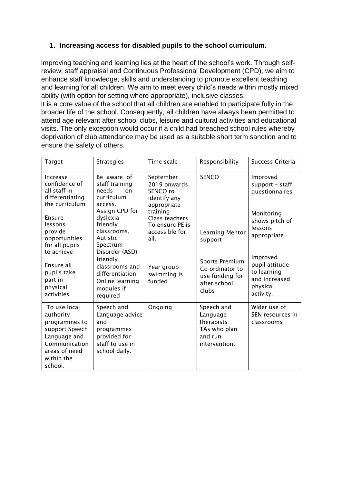#### **1. Increasing access for disabled pupils to the school curriculum.**

Improving teaching and learning lies at the heart of the school's work. Through selfreview, staff appraisal and Continuous Professional Development (CPD), we aim to enhance staff knowledge, skills and understanding to promote excellent teaching and learning for all children. We aim to meet every child's needs within mostly mixed ability (with option for setting where appropriate), inclusive classes.

It is a core value of the school that all children are enabled to participate fully in the broader life of the school. Consequently, all children have always been permitted to attend age relevant after school clubs, leisure and cultural activities and educational visits. The only exception would occur if a child had breached school rules whereby deprivation of club attendance may be used as a suitable short term sanction and to ensure the safety of others.

| <b>Target</b>                                                                                                                                                                                                       | <b>Strategies</b>                                                                                                                                                                                                                            | Time-scale                                                                                                                                                                             | Responsibility                                                                                                     | Success Criteria                                                                                                                                                                  |
|---------------------------------------------------------------------------------------------------------------------------------------------------------------------------------------------------------------------|----------------------------------------------------------------------------------------------------------------------------------------------------------------------------------------------------------------------------------------------|----------------------------------------------------------------------------------------------------------------------------------------------------------------------------------------|--------------------------------------------------------------------------------------------------------------------|-----------------------------------------------------------------------------------------------------------------------------------------------------------------------------------|
| Increase<br>confidence of<br>all staff in<br>differentiating<br>the curriculum<br>Ensure<br>lessons<br>provide<br>opportunities<br>for all pupils<br>to achieve<br>Ensure all<br>pupils take<br>part in<br>physical | Be aware of<br>staff training<br>needs<br>on<br>curriculum<br>access.<br>Assign CPD for<br>dyslexia<br>friendly<br>classrooms,<br>Autistic<br>Spectrum<br>Disorder (ASD)<br>friendly<br>classrooms and<br>differentiation<br>Online learning | September<br>2019 onwards<br>SENCO to<br>identify any<br>appropriate<br>training<br>Class teachers<br>To ensure PE is<br>accessible for<br>all.<br>Year group<br>swimming is<br>funded | <b>SENCO</b><br>Learning Mentor<br>support<br>Sports Premium<br>Co-ordinator to<br>use funding for<br>after school | Improved<br>support - staff<br>questionnaires<br>Monitoring<br>shows pitch of<br>lessons<br>appropriate<br>Improved<br>pupil attitude<br>to learning<br>and increased<br>physical |
| activities                                                                                                                                                                                                          | modules if<br>required                                                                                                                                                                                                                       |                                                                                                                                                                                        | clubs                                                                                                              | activity.                                                                                                                                                                         |
| To use local<br>authority<br>programmes to<br>support Speech<br>Language and<br>Communication<br>areas of need<br>within the<br>school.                                                                             | Speech and<br>Language advice<br>and<br>programmes<br>provided for<br>staff to use in<br>school daily.                                                                                                                                       | Ongoing                                                                                                                                                                                | Speech and<br>Language<br>therapists<br>TAs who plan<br>and run<br>intervention.                                   | Wider use of<br>SEN resources in<br>classrooms                                                                                                                                    |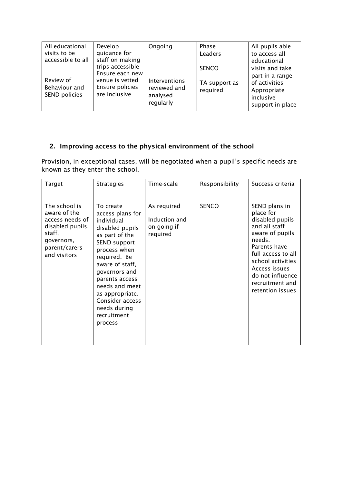| All educational   | Develop          | Ongoing       | Phase         | All pupils able  |
|-------------------|------------------|---------------|---------------|------------------|
| visits to be      | quidance for     |               | Leaders       | to access all    |
| accessible to all | staff on making  |               |               | educational      |
|                   | trips accessible |               | <b>SENCO</b>  | visits and take  |
|                   | Ensure each new  |               |               | part in a range  |
| Review of         | venue is vetted  | Interventions | TA support as | of activities    |
| Behaviour and     | Ensure policies  | reviewed and  | required      | Appropriate      |
| SEND policies     | are inclusive    | analysed      |               | inclusive        |
|                   |                  | regularly     |               | support in place |
|                   |                  |               |               |                  |

### **2. Improving access to the physical environment of the school**

Provision, in exceptional cases, will be negotiated when a pupil's specific needs are known as they enter the school.

| Target                                                                                                                        | <b>Strategies</b>                                                                                                                                                                                                                                                                               | Time-scale                                              | Responsibility | Success criteria                                                                                                                                                                                                                   |
|-------------------------------------------------------------------------------------------------------------------------------|-------------------------------------------------------------------------------------------------------------------------------------------------------------------------------------------------------------------------------------------------------------------------------------------------|---------------------------------------------------------|----------------|------------------------------------------------------------------------------------------------------------------------------------------------------------------------------------------------------------------------------------|
| The school is<br>aware of the<br>access needs of<br>disabled pupils,<br>staff,<br>governors,<br>parent/carers<br>and visitors | To create<br>access plans for<br>individual<br>disabled pupils<br>as part of the<br><b>SEND support</b><br>process when<br>required. Be<br>aware of staff,<br>governors and<br>parents access<br>needs and meet<br>as appropriate.<br>Consider access<br>needs during<br>recruitment<br>process | As required<br>Induction and<br>on-going if<br>required | <b>SENCO</b>   | SEND plans in<br>place for<br>disabled pupils<br>and all staff<br>aware of pupils<br>needs.<br>Parents have<br>full access to all<br>school activities<br>Access issues<br>do not influence<br>recruitment and<br>retention issues |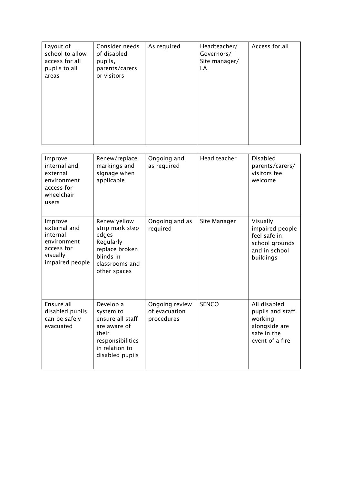| Layout of       | Consider needs | As required | Headteacher/  | Access for all |
|-----------------|----------------|-------------|---------------|----------------|
| school to allow | of disabled    |             | Governors/    |                |
| access for all  | pupils,        |             | Site manager/ |                |
| pupils to all   | parents/carers |             | LA            |                |
| areas           | or visitors    |             |               |                |
|                 |                |             |               |                |
|                 |                |             |               |                |
|                 |                |             |               |                |
|                 |                |             |               |                |
|                 |                |             |               |                |
|                 |                |             |               |                |
|                 |                |             |               |                |
|                 |                |             |               |                |
|                 |                |             |               |                |
|                 |                |             |               |                |

| Improve<br>internal and<br>external<br>environment<br>access for<br>wheelchair<br>users         | Renew/replace<br>markings and<br>signage when<br>applicable                                                                  | Ongoing and<br>as required                    | Head teacher | <b>Disabled</b><br>parents/carers/<br>visitors feel<br>welcome                                 |
|-------------------------------------------------------------------------------------------------|------------------------------------------------------------------------------------------------------------------------------|-----------------------------------------------|--------------|------------------------------------------------------------------------------------------------|
| Improve<br>external and<br>internal<br>environment<br>access for<br>visually<br>impaired people | Renew yellow<br>strip mark step<br>edges<br>Regularly<br>replace broken<br>blinds in<br>classrooms and<br>other spaces       | Ongoing and as<br>required                    | Site Manager | Visually<br>impaired people<br>feel safe in<br>school grounds<br>and in school<br>buildings    |
| Ensure all<br>disabled pupils<br>can be safely<br>evacuated                                     | Develop a<br>system to<br>ensure all staff<br>are aware of<br>their<br>responsibilities<br>in relation to<br>disabled pupils | Ongoing review<br>of evacuation<br>procedures | <b>SENCO</b> | All disabled<br>pupils and staff<br>working<br>alongside are<br>safe in the<br>event of a fire |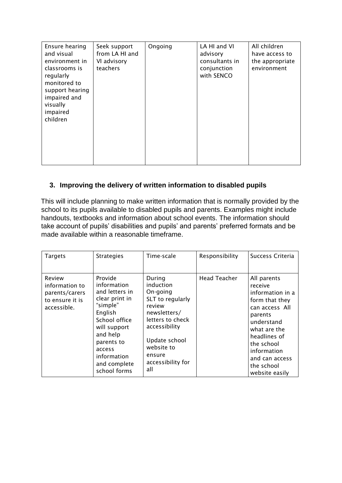| Ensure hearing<br>and visual<br>environment in<br>classrooms is<br>regularly<br>monitored to<br>support hearing<br>impaired and<br>visually<br>impaired<br>children | Seek support<br>from LA HI and<br>VI advisory<br>teachers | Ongoing | LA HI and VI<br>advisory<br>consultants in<br>conjunction<br>with SENCO | All children<br>have access to<br>the appropriate<br>environment |
|---------------------------------------------------------------------------------------------------------------------------------------------------------------------|-----------------------------------------------------------|---------|-------------------------------------------------------------------------|------------------------------------------------------------------|
|---------------------------------------------------------------------------------------------------------------------------------------------------------------------|-----------------------------------------------------------|---------|-------------------------------------------------------------------------|------------------------------------------------------------------|

#### **3. Improving the delivery of written information to disabled pupils**

This will include planning to make written information that is normally provided by the school to its pupils available to disabled pupils and parents. Examples might include handouts, textbooks and information about school events. The information should take account of pupils' disabilities and pupils' and parents' preferred formats and be made available within a reasonable timeframe.

| <b>Targets</b>                                                               | <b>Strategies</b>                                                                                                                                                                                     | Time-scale                                                                                                                                                                              | Responsibility      | Success Criteria                                                                                                                                                                                                       |
|------------------------------------------------------------------------------|-------------------------------------------------------------------------------------------------------------------------------------------------------------------------------------------------------|-----------------------------------------------------------------------------------------------------------------------------------------------------------------------------------------|---------------------|------------------------------------------------------------------------------------------------------------------------------------------------------------------------------------------------------------------------|
| Review<br>information to<br>parents/carers<br>to ensure it is<br>accessible. | Provide<br>information<br>and letters in<br>clear print in<br>"simple"<br>English<br>School office<br>will support<br>and help<br>parents to<br>access<br>information<br>and complete<br>school forms | During<br>induction<br>On-going<br>SLT to regularly<br>review<br>newsletters/<br>letters to check<br>accessibility<br>Update school<br>website to<br>ensure<br>accessibility for<br>all | <b>Head Teacher</b> | All parents<br>receive<br>information in a<br>form that they<br>can access All<br>parents<br>understand<br>what are the<br>headlines of<br>the school<br>information<br>and can access<br>the school<br>website easily |